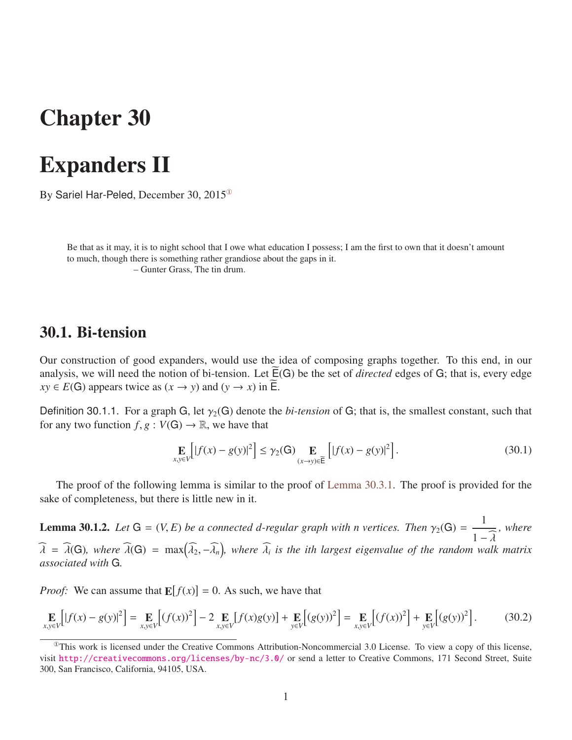# Chapter 30

# Expanders II

By Sariel Har-Peled, December 30, 2015[①](#page-0-0)

Be that as it may, it is to night school that I owe what education I possess; I am the first to own that it doesn't amount to much, though there is something rather grandiose about the gaps in it. – Gunter Grass, The tin drum.

## 30.1. Bi-tension

Our construction of good expanders, would use the idea of composing graphs together. To this end, in our analysis, we will need the notion of bi-tension. Let  $\widetilde{E}(G)$  be the set of *directed* edges of G; that is, every edge  $xy \in E(G)$  appears twice as  $(x \rightarrow y)$  and  $(y \rightarrow x)$  in  $\widetilde{E}$ .

Definition 30.1.1. For a graph G, let  $\gamma_2(G)$  denote the *bi-tension* of G; that is, the smallest constant, such that for any two function  $f, g : V(G) \to \mathbb{R}$ , we have that

<span id="page-0-1"></span>
$$
\mathop{\mathbf{E}}_{x,y \in V} \left[ |f(x) - g(y)|^2 \right] \le \gamma_2(\mathbf{G}) \mathop{\mathbf{E}}_{(x \to y) \in \widetilde{\mathsf{E}}} \left[ |f(x) - g(y)|^2 \right]. \tag{30.1}
$$

The proof of the following lemma is similar to the proof of [Lemma 30.3.1.](#page-5-0) The proof is provided for the sake of completeness, but there is little new in it.

**Lemma 30.1.2.** Let  $G = (V, E)$  be a connected d-regular graph with n vertices. Then  $\gamma_2(G) = \frac{1}{1 - \widehat{\lambda}}$ , where  $1 - \lambda$ <br>walk  $\widehat{\lambda} = \widehat{\lambda}(G)$ , where  $\widehat{\lambda}(G) = \max(\widehat{\lambda}_2, -\widehat{\lambda}_n)$ , where  $\widehat{\lambda}_i$  is the ith largest eigenvalue of the random walk matrix *associated with* G*.*

*Proof:* We can assume that  $\mathbf{E}[f(x)] = 0$ . As such, we have that

$$
\mathop{\mathbf{E}}_{x,y \in V} \Big[ |f(x) - g(y)|^2 \Big] = \mathop{\mathbf{E}}_{x,y \in V} \Big[ (f(x))^2 \Big] - 2 \mathop{\mathbf{E}}_{x,y \in V} \Big[ f(x)g(y) \Big] + \mathop{\mathbf{E}}_{y \in V} \Big[ (g(y))^2 \Big] = \mathop{\mathbf{E}}_{x,y \in V} \Big[ (f(x))^2 \Big] + \mathop{\mathbf{E}}_{y \in V} \Big[ (g(y))^2 \Big].
$$
 (30.2)

<span id="page-0-0"></span> $^{\circ}$ This work is licensed under the Creative Commons Attribution-Noncommercial 3.0 License. To view a copy of this license, visit <http://creativecommons.org/licenses/by-nc/3.0/> or send a letter to Creative Commons, 171 Second Street, Suite 300, San Francisco, California, 94105, USA.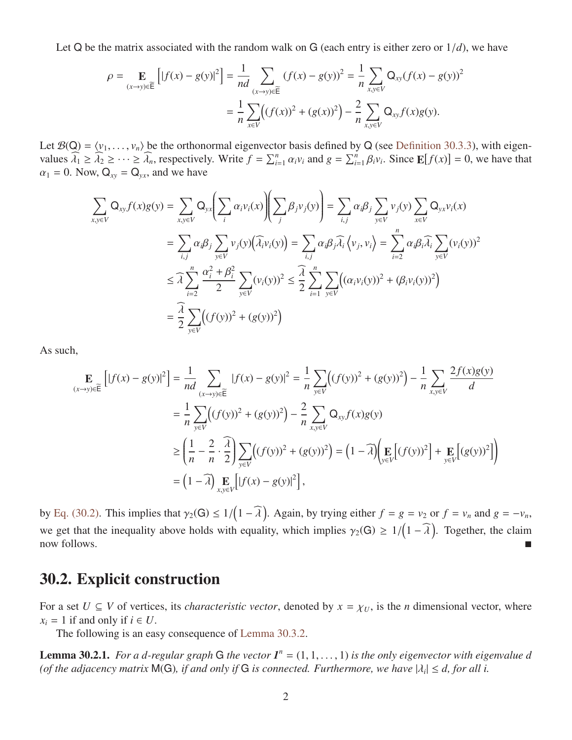Let Q be the matrix associated with the random walk on G (each entry is either zero or  $1/d$ ), we have

$$
\rho = \mathop{\mathbf{E}}_{(x \to y) \in \widetilde{\mathsf{E}}}\left[|f(x) - g(y)|^2\right] = \frac{1}{nd} \sum_{(x \to y) \in \widetilde{\mathsf{E}}}(f(x) - g(y))^2 = \frac{1}{n} \sum_{x, y \in V} \mathsf{Q}_{xy}(f(x) - g(y))^2
$$

$$
= \frac{1}{n} \sum_{x \in V} \bigl((f(x))^2 + (g(x))^2\bigr) - \frac{2}{n} \sum_{x, y \in V} \mathsf{Q}_{xy}f(x)g(y).
$$

Let  $\mathcal{B}(Q) = \langle v_1, \ldots, v_n \rangle$  be the orthonormal eigenvector basis defined by Q (see [Definition 30.3.3\)](#page-5-1), with eigenvalues  $\widehat{\lambda}_1 \ge \widehat{\lambda}_2 \ge \cdots \ge \widehat{\lambda}_n$ , respectively. Write  $f = \sum_{i=1}^n \alpha_i v_i$  and  $g = \sum_{i=1}^n \beta_i v_i$ . Since  $\mathbb{E}[f(x)] = 0$ , we have that  $\alpha_i = 0$ . Now  $\Omega_i = \Omega$  and we have  $\alpha_1 = 0$ . Now,  $Q_{xy} = Q_{yx}$ , and we have

$$
\sum_{x,y \in V} Q_{xy} f(x) g(y) = \sum_{x,y \in V} Q_{yx} \left( \sum_{i} \alpha_{i} v_{i}(x) \right) \left( \sum_{j} \beta_{j} v_{j}(y) \right) = \sum_{i,j} \alpha_{i} \beta_{j} \sum_{y \in V} v_{j}(y) \sum_{x \in V} Q_{yx} v_{i}(x)
$$
\n
$$
= \sum_{i,j} \alpha_{i} \beta_{j} \sum_{y \in V} v_{j}(y) \left( \widehat{\lambda}_{i} v_{i}(y) \right) = \sum_{i,j} \alpha_{i} \beta_{j} \widehat{\lambda}_{i} \left\langle v_{j}, v_{i} \right\rangle = \sum_{i=2}^{n} \alpha_{i} \beta_{i} \widehat{\lambda}_{i} \sum_{y \in V} (v_{i}(y))^{2}
$$
\n
$$
\leq \widehat{\lambda} \sum_{i=2}^{n} \frac{\alpha_{i}^{2} + \beta_{i}^{2}}{2} \sum_{y \in V} (v_{i}(y))^{2} \leq \widehat{\lambda} \sum_{i=1}^{n} \sum_{y \in V} \left( (\alpha_{i} v_{i}(y))^{2} + (\beta_{i} v_{i}(y))^{2} \right)
$$
\n
$$
= \frac{\widehat{\lambda}}{2} \sum_{y \in V} \left( (f(y))^{2} + (g(y))^{2} \right)
$$

As such,

$$
\mathbf{E}_{(x \to y) \in \widetilde{\mathbf{E}}} \left[ |f(x) - g(y)|^2 \right] = \frac{1}{nd} \sum_{(x \to y) \in \widetilde{\mathbf{E}}} |f(x) - g(y)|^2 = \frac{1}{n} \sum_{y \in V} \left( (f(y))^2 + (g(y))^2 \right) - \frac{1}{n} \sum_{x, y \in V} \frac{2f(x)g(y)}{d}
$$
\n
$$
= \frac{1}{n} \sum_{y \in V} \left( (f(y))^2 + (g(y))^2 \right) - \frac{2}{n} \sum_{x, y \in V} \mathsf{Q}_{xy} f(x)g(y)
$$
\n
$$
\geq \left( \frac{1}{n} - \frac{2}{n} \cdot \frac{\widehat{\lambda}}{2} \right) \sum_{y \in V} \left( (f(y))^2 + (g(y))^2 \right) = \left( 1 - \widehat{\lambda} \right) \left( \mathbf{E} \left[ (f(y))^2 \right] + \mathbf{E} \left[ (g(y))^2 \right] \right)
$$
\n
$$
= \left( 1 - \widehat{\lambda} \right) \mathbf{E}_{x, y \in V} \left[ |f(x) - g(y)|^2 \right],
$$

by [Eq. \(30.2\).](#page-0-1) This implies that  $\gamma_2(G) \le 1/(1 - \widehat{\lambda})$ . Again, by trying either  $f = g = v_2$  or  $f = v_n$  and  $g = -v_n$ , we get that the inequality above holds with equality, which implies  $\gamma_2(G) \ge 1/(1 - \widehat{\lambda})$ . Together, the claim now follows.

## 30.2. Explicit construction

For a set  $U \subseteq V$  of vertices, its *characteristic vector*, denoted by  $x = \chi_U$ , is the *n* dimensional vector, where  $x_i = 1$  if and only if  $i \in U$ .

The following is an easy consequence of [Lemma 30.3.2.](#page-5-2)

**Lemma 30.2.1.** *For a d-regular graph* G *the vector*  $I^n = (1, 1, ..., 1)$  *is the only eigenvector with eigenvalue d*  $I_n$  *(of the adiacency matrix M(G) if and only if G is connected. Furthermore, we have*  $|\lambda| \le d$  *for a* (*of the adjacency matrix*  $M(G)$ *, if and only if* G *is connected. Furthermore, we have*  $|\lambda_i| \leq d$ , for all *i*.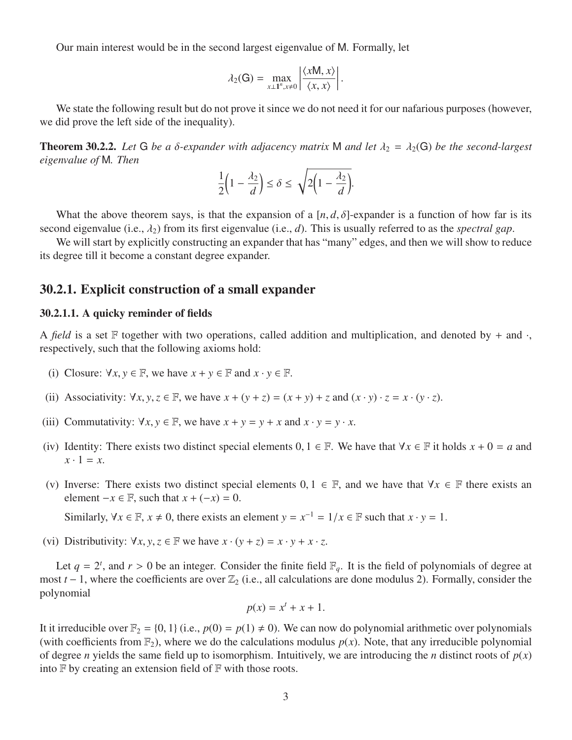Our main interest would be in the second largest eigenvalue of M. Formally, let

$$
\lambda_2(\mathbf{G}) = \max_{x \perp \mathbf{1}^n, x \neq 0} \left| \frac{\langle x \mathsf{M}, x \rangle}{\langle x, x \rangle} \right|.
$$

We state the following result but do not prove it since we do not need it for our nafarious purposes (however, we did prove the left side of the inequality).

**Theorem 30.2.2.** Let G be a  $\delta$ -expander with adjacency matrix M and let  $\lambda_2 = \lambda_2(G)$  be the second-largest *eigenvalue of* M*. Then*

$$
\frac{1}{2}\left(1-\frac{\lambda_2}{d}\right) \le \delta \le \sqrt{2\left(1-\frac{\lambda_2}{d}\right)}.
$$

What the above theorem says, is that the expansion of a  $[n, d, \delta]$ -expander is a function of how far is its second eigenvalue (i.e.,  $\lambda_2$ ) from its first eigenvalue (i.e., *d*). This is usually referred to as the *spectral gap*.

We will start by explicitly constructing an expander that has "many" edges, and then we will show to reduce its degree till it become a constant degree expander.

### 30.2.1. Explicit construction of a small expander

### 30.2.1.1. A quicky reminder of fields

A *field* is a set F together with two operations, called addition and multiplication, and denoted by  $+$  and  $\cdot$ , respectively, such that the following axioms hold:

- (i) Closure:  $\forall x, y \in \mathbb{F}$ , we have  $x + y \in \mathbb{F}$  and  $x \cdot y \in \mathbb{F}$ .
- (ii) Associativity:  $\forall x, y, z \in \mathbb{F}$ , we have  $x + (y + z) = (x + y) + z$  and  $(x \cdot y) \cdot z = x \cdot (y \cdot z)$ .
- (iii) Commutativity:  $\forall x, y \in \mathbb{F}$ , we have  $x + y = y + x$  and  $x \cdot y = y \cdot x$ .
- (iv) Identity: There exists two distinct special elements  $0, 1 \in \mathbb{F}$ . We have that  $\forall x \in \mathbb{F}$  it holds  $x + 0 = a$  and  $x \cdot 1 = x$ .
- (v) Inverse: There exists two distinct special elements  $0, 1 \in \mathbb{F}$ , and we have that  $\forall x \in \mathbb{F}$  there exists an element  $-x \in \mathbb{F}$ , such that  $x + (-x) = 0$ .
	- Similarly,  $\forall x \in \mathbb{F}, x \neq 0$ , there exists an element  $y = x^{-1} = 1/x \in \mathbb{F}$  such that  $x \cdot y = 1$ .
- (vi) Distributivity:  $\forall x, y, z \in \mathbb{F}$  we have  $x \cdot (y + z) = x \cdot y + x \cdot z$ .

Let  $q = 2^t$ , and  $r > 0$  be an integer. Consider the finite field  $\mathbb{F}_q$ . It is the field of polynomials of degree at  $t = 1$ , where the coefficients are over  $\mathbb{Z}_2$  (i.e., all calculations are done modulus 2). Forma most  $t$  − 1, where the coefficients are over  $\mathbb{Z}_2$  (i.e., all calculations are done modulus 2). Formally, consider the polynomial

$$
p(x) = x^t + x + 1.
$$

It it irreducible over  $\mathbb{F}_2 = \{0, 1\}$  (i.e.,  $p(0) = p(1) \neq 0$ ). We can now do polynomial arithmetic over polynomials (with coefficients from  $\mathbb{F}_2$ ), where we do the calculations modulus  $p(x)$ . Note, that any irreducible polynomial of degree *n* yields the same field up to isomorphism. Intuitively, we are introducing the *n* distinct roots of  $p(x)$ into  $F$  by creating an extension field of  $F$  with those roots.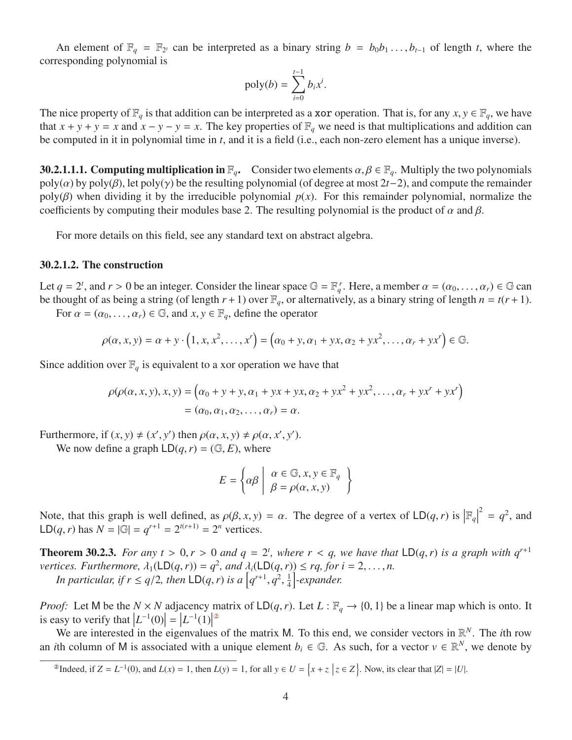An element of  $\mathbb{F}_q = \mathbb{F}_{2^t}$  can be interpreted as a binary string  $b = b_0 b_1 \dots, b_{t-1}$  of length *t*, where the responding polynomial is corresponding polynomial is

$$
\text{poly}(b) = \sum_{i=0}^{t-1} b_i x^i.
$$

The nice property of  $\mathbb{F}_q$  is that addition can be interpreted as a **xor** operation. That is, for any  $x, y \in \mathbb{F}_q$ , we have that  $x + y + y = x$  and  $x - y - y = x$ . The key properties of  $\mathbb{F}_q$  we need is that multiplications and addition can be computed in it in polynomial time in *t*, and it is a field (i.e., each non-zero element has a unique inverse).

**30.2.1.1.1. Computing multiplication in**  $\mathbb{F}_q$ . Consider two elements  $\alpha, \beta \in \mathbb{F}_q$ . Multiply the two polynomials  $poly(\alpha)$  by  $poly(\beta)$ , let  $poly(\gamma)$  be the resulting polynomial (of degree at most 2*t*−2), and compute the remainder poly( $\beta$ ) when dividing it by the irreducible polynomial  $p(x)$ . For this remainder polynomial, normalize the coefficients by computing their modules base 2. The resulting polynomial is the product of  $\alpha$  and  $\beta$ .

For more details on this field, see any standard text on abstract algebra.

#### 30.2.1.2. The construction

Let  $q = 2^t$ , and  $r > 0$  be an integer. Consider the linear space  $\mathbb{G} = \mathbb{F}_q^r$ . Here, a member  $\alpha = (\alpha_0, \dots, \alpha_r) \in \mathbb{G}$  can<br>be thought of as being a string (of length  $r + 1$ ) over  $\mathbb{F}_q$  or alternatively as a bi be thought of as being a string (of length  $r + 1$ ) over  $\mathbb{F}_q$ , or alternatively, as a binary string of length  $n = t(r + 1)$ .

For  $\alpha = (\alpha_0, \dots, \alpha_r) \in \mathbb{G}$ , and  $x, y \in \mathbb{F}_q$ , define the operator

$$
\rho(\alpha, x, y) = \alpha + y \cdot (1, x, x^2, \dots, x^r) = (\alpha_0 + y, \alpha_1 + yx, \alpha_2 + yx^2, \dots, \alpha_r + yx^r) \in \mathbb{G}.
$$

Since addition over  $\mathbb{F}_q$  is equivalent to a xor operation we have that

$$
\rho(\rho(\alpha, x, y), x, y) = (\alpha_0 + y + y, \alpha_1 + yx + yx, \alpha_2 + yx^2 + yx^2, ..., \alpha_r + yx^r + yx^r)
$$
  
=  $(\alpha_0, \alpha_1, \alpha_2, ..., \alpha_r) = \alpha$ .

Furthermore, if  $(x, y) \neq (x', y')$  then  $\rho(\alpha, x, y) \neq \rho(\alpha, x', y')$ .<br>We now define a graph  $\Box(\alpha, r) = (\Box \Box F)$  where

We now define a graph  $LD(q, r) = (\mathbb{G}, E)$ , where

$$
E = \left\{ \alpha \beta \middle| \begin{array}{l} \alpha \in \mathbb{G}, x, y \in \mathbb{F}_q \\ \beta = \rho(\alpha, x, y) \end{array} \right\}
$$

Note, that this graph is well defined, as  $\rho(\beta, x, y) = \alpha$ . The degree of a vertex of  $LD(q, r)$  is  $\left| \mathbb{F}_q \right|$ <br> $\left| \mathbb{F}_q \right|$  $2^2 = q^2$ , and LD(*q*,*r*) has  $N = |\mathbb{G}| = q^{r+1} = 2^{t(r+1)} = 2^n$  vertices.

<span id="page-3-1"></span>**Theorem 30.2.3.** *For any t* > 0,*r* > 0 *and*  $q = 2^t$ , where  $r < q$ , we have that  $LD(q, r)$  *is a graph with*  $q^{r+1}$  vertices. Furthermore,  $\lambda$ ,(1  $D(q, r) = q^2$  and  $\lambda$ ,(1  $D(q, r)$ )  $\leq ra$  for  $i = 2$  n *vertices. Furthermore,*  $\lambda_1(LD(q, r)) = q^2$ , and  $\lambda_i(LD(q, r)) \le rq$ , for  $i = 2, ..., n$ .<br>In particular if  $r \le a/2$ , then  $|D(q, r)|$  is  $a\left[a^{r+1}, a^2, \frac{1}{2}\right]$  expander. *In particular, if*  $r \le q/2$ *, then*  $LD(q, r)$  *is a*  $\left[q^{r+1}, q^2\right]$ , 1  $\frac{1}{4}$ -expander.

*Proof:* Let M be the  $N \times N$  adjacency matrix of  $LD(q, r)$ . Let  $L : \mathbb{F}_q \to \{0, 1\}$  be a linear map which is onto. It is easy to verify that  $|L^{-1}(0)| = |L^{-1}(1)|^{\otimes}$ 

We are interested in the eigenvalues of the matrix M. To this end, we consider vectors in  $\mathbb{R}^N$ . The *i*th row an *i*th column of M is associated with a unique element  $b_i \in \mathbb{G}$ . As such, for a vector  $v \in \mathbb{R}^N$ , we denote by

<span id="page-3-0"></span><sup>&</sup>lt;sup>20</sup> Indeed, if  $Z = L^{-1}(0)$ , and  $L(x) = 1$ , then  $L(y) = 1$ , for all  $y \in U = \{x + z \mid z \in Z\}$ . Now, its clear that  $|Z| = |U|$ .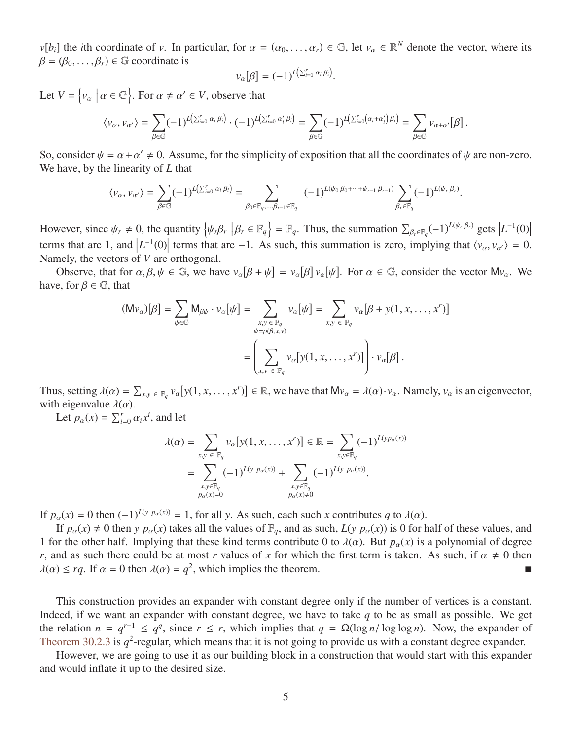*v*[*b<sub>i</sub>*] the *i*th coordinate of *v*. In particular, for  $\alpha = (\alpha_0, \dots, \alpha_r) \in \mathbb{G}$ , let  $v_\alpha \in \mathbb{R}^N$  denote the vector, where its  $\beta = (\beta_0, \dots, \beta_r) \in \mathbb{G}$  coordinate is  $\beta = (\beta_0, \ldots, \beta_r) \in \mathbb{G}$  coordinate is

$$
v_{\alpha}[\beta] = (-1)^{L(\sum_{i=0}^{r} \alpha_i \beta_i)}
$$

Let  $V = \{v_\alpha \mid \alpha \in \mathbb{G}\}\)$ . For  $\alpha \neq \alpha' \in V$ , observe that

$$
\langle v_{\alpha}, v_{\alpha'} \rangle = \sum_{\beta \in \mathbb{G}} (-1)^{L(\sum_{i=0}^r \alpha_i \beta_i)} \cdot (-1)^{L(\sum_{i=0}^r \alpha'_i \beta_i)} = \sum_{\beta \in \mathbb{G}} (-1)^{L(\sum_{i=0}^r (\alpha_i + \alpha'_i) \beta_i)} = \sum_{\beta \in \mathbb{G}} v_{\alpha + \alpha'}[\beta].
$$

So, consider  $\psi = \alpha + \alpha' \neq 0$ . Assume, for the simplicity of exposition that all the coordinates of  $\psi$  are non-zero.<br>We have by the linearity of I that We have, by the linearity of *L* that

$$
\langle \nu_\alpha, \nu_{\alpha'} \rangle = \sum_{\beta \in \mathbb{G}} (-1)^{L(\sum_{i=0}^r \alpha_i \beta_i)} = \sum_{\beta_0 \in \mathbb{F}_q, \dots, \beta_{r-1} \in \mathbb{F}_q} (-1)^{L(\psi_0 \beta_0 + \dots + \psi_{r-1} \beta_{r-1})} \sum_{\beta_r \in \mathbb{F}_q} (-1)^{L(\psi_r \beta_r)}.
$$

However, since  $\psi_r \neq 0$ , the quantity  $\{\psi_r \beta_r | \beta_r \in \mathbb{F}_q\} = \mathbb{F}_q$ . Thus, the summation  $\sum_{\beta_r \in \mathbb{F}_q} (-1)^{L(\psi_r \beta_r)}$  gets  $|L^{-1}(0)|$ terms that are 1, and  $|L^{-1}(0)|$  terms that are −1. As such, this summation is zero, implying that  $\langle v_\alpha, v_{\alpha'} \rangle = 0$ .<br>Namely the vectors of *V* are orthogonal Namely, the vectors of *V* are orthogonal.

Observe, that for  $\alpha, \beta, \psi \in \mathbb{G}$ , we have  $v_{\alpha}[\beta + \psi] = v_{\alpha}[\beta + \beta]$ β  $\mathcal{V}_{\alpha}$ ψ ]. For  $\alpha \in \mathbb{G}$ , consider the vector  $Mv_{\alpha}$ . We have, for  $\beta \in \mathbb{G}$ , that

$$
\begin{aligned} (\mathsf{M} \mathsf{v}_{\alpha})[\beta] &= \sum_{\psi \in \mathbb{G}} \mathsf{M}_{\beta \psi} \cdot \mathsf{v}_{\alpha}[\psi] = \sum_{\substack{x, y \in \mathbb{F}_q \\ \psi = \rho(\beta, x, y)}} \mathsf{v}_{\alpha}[\psi] = \sum_{x, y \in \mathbb{F}_q} \mathsf{v}_{\alpha}[\beta + \mathsf{y}(1, x, \dots, x')] \\ &= \left( \sum_{x, y \in \mathbb{F}_q} \mathsf{v}_{\alpha}[\mathsf{y}(1, x, \dots, x')] \right) \cdot \mathsf{v}_{\alpha}[\beta] \, . \end{aligned}
$$

Thus, setting  $\lambda(\alpha) = \sum_{x,y \in \mathbb{F}_q} v_\alpha [y(1, x, \dots, x^r)] \in \mathbb{R}$ , we have that  $Mv_\alpha = \lambda(\alpha) \cdot v_\alpha$ . Namely,  $v_\alpha$  is an eigenvector, with eigenvalue  $\lambda(\alpha)$ .

Let  $p_{\alpha}(x) = \sum_{i=0}^{r} \alpha_i x^i$ , and let

$$
\lambda(\alpha) = \sum_{x,y \in \mathbb{F}_q} v_{\alpha}[y(1, x, \dots, x^r)] \in \mathbb{R} = \sum_{x,y \in \mathbb{F}_q} (-1)^{L(y p_{\alpha}(x))}
$$
  
= 
$$
\sum_{\substack{x,y \in \mathbb{F}_q \\ p_{\alpha}(x) = 0}} (-1)^{L(y p_{\alpha}(x))} + \sum_{\substack{x,y \in \mathbb{F}_q \\ p_{\alpha}(x) \neq 0}} (-1)^{L(y p_{\alpha}(x))}.
$$

If  $p_{\alpha}(x) = 0$  then  $(-1)^{L(y)p_{\alpha}(x)} = 1$ , for all *y*. As such, each such *x* contributes *q* to  $\lambda(\alpha)$ .

If  $p_\alpha(x) \neq 0$  then *y*  $p_\alpha(x)$  takes all the values of  $\mathbb{F}_q$ , and as such,  $L(y \, p_\alpha(x))$  is 0 for half of these values, and 1 for the other half. Implying that these kind terms contribute 0 to  $\lambda(\alpha)$ . But  $p_\alpha(x)$  is a polynomial of degree *r*, and as such there could be at most *r* values of *x* for which the first term is taken. As such, if  $\alpha \neq 0$  then  $\lambda(\alpha) < ra$ . If  $\alpha = 0$  then  $\lambda(\alpha) = a^2$ , which implies the theorem.  $\lambda(\alpha) \leq rq$ . If  $\alpha = 0$  then  $\lambda(\alpha) = q^2$ , which implies the theorem.

This construction provides an expander with constant degree only if the number of vertices is a constant. Indeed, if we want an expander with constant degree, we have to take *q* to be as small as possible. We get the relation  $n = q^{r+1} \le q^q$ , since  $r \le r$ , which implies that  $q = \Omega(\log n / \log \log n)$ . Now, the expander of Theorem 30.2.3 is  $q^2$ -regular which means that it is not going to provide us with a constant degree expander [Theorem 30.2.3](#page-3-1) is  $q^2$ -regular, which means that it is not going to provide us with a constant degree expander.

However, we are going to use it as our building block in a construction that would start with this expander and would inflate it up to the desired size.